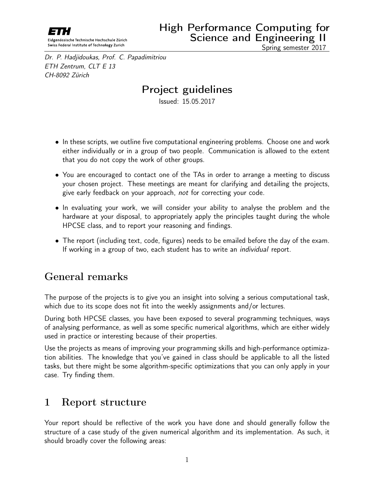<span id="page-0-0"></span>

Spring semester 2017

Dr. P. Hadjidoukas, Prof. C. Papadimitriou ETH Zentrum, CLT E 13 CH-8092 Zürich

## Project guidelines

Issued: 15.05.2017

- In these scripts, we outline five computational engineering problems. Choose one and work either individually or in a group of two people. Communication is allowed to the extent that you do not copy the work of other groups.
- You are encouraged to contact one of the TAs in order to arrange a meeting to discuss your chosen project. These meetings are meant for clarifying and detailing the projects, give early feedback on your approach, not for correcting your code.
- In evaluating your work, we will consider your ability to analyse the problem and the hardware at your disposal, to appropriately apply the principles taught during the whole HPCSE class, and to report your reasoning and findings.
- The report (including text, code, figures) needs to be emailed before the day of the exam. If working in a group of two, each student has to write an *individual* report.

## General remarks

The purpose of the projects is to give you an insight into solving a serious computational task, which due to its scope does not fit into the weekly assignments and/or lectures.

During both HPCSE classes, you have been exposed to several programming techniques, ways of analysing performance, as well as some specific numerical algorithms, which are either widely used in practice or interesting because of their properties.

Use the projects as means of improving your programming skills and high-performance optimization abilities. The knowledge that you've gained in class should be applicable to all the listed tasks, but there might be some algorithm-specific optimizations that you can only apply in your case. Try finding them.

### 1 Report structure

Your report should be reflective of the work you have done and should generally follow the structure of a case study of the given numerical algorithm and its implementation. As such, it should broadly cover the following areas: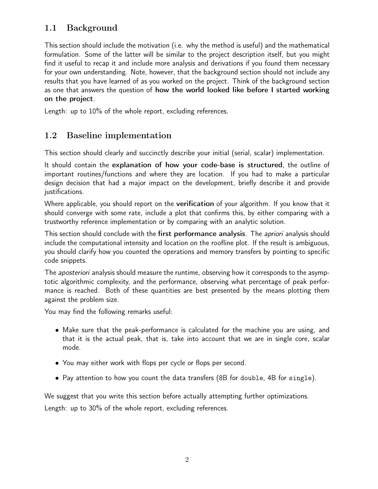### 1.1 Background

This section should include the motivation (i.e. why the method is useful) and the mathematical formulation. Some of the latter will be similar to the project description itself, but you might find it useful to recap it and include more analysis and derivations if you found them necessary for your own understanding. Note, however, that the background section should not include any results that you have learned of as you worked on the project. Think of the background section as one that answers the question of how the world looked like before I started working on the project.

Length: up to 10% of the whole report, excluding references.

#### 1.2 Baseline implementation

This section should clearly and succinctly describe your initial (serial, scalar) implementation.

It should contain the explanation of how your code-base is structured, the outline of important routines/functions and where they are location. If you had to make a particular design decision that had a major impact on the development, briefly describe it and provide justifications.

Where applicable, you should report on the **verification** of your algorithm. If you know that it should converge with some rate, include a plot that confirms this, by either comparing with a trustworthy reference implementation or by comparing with an analytic solution.

This section should conclude with the first performance analysis. The *apriori* analysis should include the computational intensity and location on the roofline plot. If the result is ambiguous, you should clarify how you counted the operations and memory transfers by pointing to specific code snippets.

The *aposteriori* analysis should measure the runtime, observing how it corresponds to the asymptotic algorithmic complexity, and the performance, observing what percentage of peak performance is reached. Both of these quantities are best presented by the means plotting them against the problem size.

You may find the following remarks useful:

- Make sure that the peak-performance is calculated for the machine you are using, and that it is the actual peak, that is, take into account that we are in single core, scalar mode.
- You may either work with flops per cycle or flops per second.
- Pay attention to how you count the data transfers (8B for double, 4B for single).

We suggest that you write this section before actually attempting further optimizations.

Length: up to 30% of the whole report, excluding references.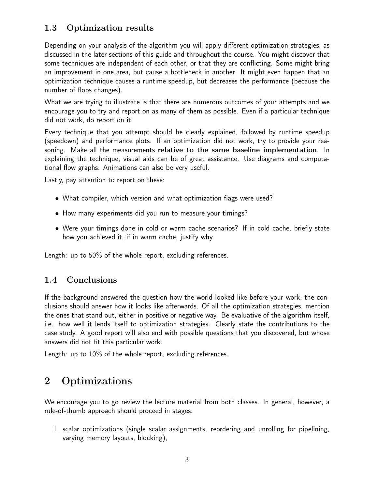#### 1.3 Optimization results

Depending on your analysis of the algorithm you will apply different optimization strategies, as discussed in the later sections of this guide and throughout the course. You might discover that some techniques are independent of each other, or that they are conflicting. Some might bring an improvement in one area, but cause a bottleneck in another. It might even happen that an optimization technique causes a runtime speedup, but decreases the performance (because the number of flops changes).

What we are trying to illustrate is that there are numerous outcomes of your attempts and we encourage you to try and report on as many of them as possible. Even if a particular technique did not work, do report on it.

Every technique that you attempt should be clearly explained, followed by runtime speedup (speedown) and performance plots. If an optimization did not work, try to provide your reasoning. Make all the measurements relative to the same baseline implementation. In explaining the technique, visual aids can be of great assistance. Use diagrams and computational flow graphs. Animations can also be very useful.

Lastly, pay attention to report on these:

- What compiler, which version and what optimization flags were used?
- How many experiments did you run to measure your timings?
- Were your timings done in cold or warm cache scenarios? If in cold cache, briefly state how you achieved it, if in warm cache, justify why.

Length: up to 50% of the whole report, excluding references.

#### 1.4 Conclusions

If the background answered the question how the world looked like before your work, the conclusions should answer how it looks like afterwards. Of all the optimization strategies, mention the ones that stand out, either in positive or negative way. Be evaluative of the algorithm itself, i.e. how well it lends itself to optimization strategies. Clearly state the contributions to the case study. A good report will also end with possible questions that you discovered, but whose answers did not fit this particular work.

Length: up to 10% of the whole report, excluding references.

## 2 Optimizations

We encourage you to go review the lecture material from both classes. In general, however, a rule-of-thumb approach should proceed in stages:

1. scalar optimizations (single scalar assignments, reordering and unrolling for pipelining, varying memory layouts, blocking),